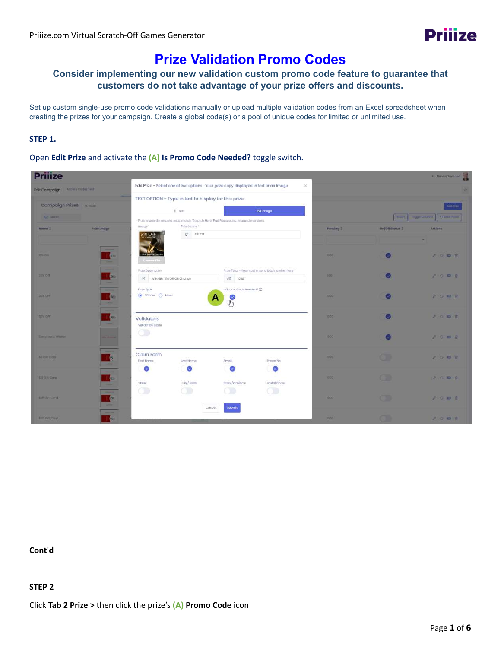# **Prize Validation Promo Codes**

## **Consider implementing our new validation custom promo code feature to guarantee that customers do not take advantage of your prize offers and discounts.**

Set up custom single-use promo code validations manually or upload multiple validation codes from an Excel spreadsheet when creating the prizes for your campaign. Create a global code(s) or a pool of unique codes for limited or unlimited use.

#### **STEP 1.**

Open **Edit Prize** and activate the **(A) Is Promo Code Needed?** toggle switch.

| <b>Prijize</b>                                                                                                                                                                                                                                                                                                                                                                                                                                                                                                                     |                                 |                                                      |                                                                                        |                                                    |                  |                        | III. Dennis Homano                      |
|------------------------------------------------------------------------------------------------------------------------------------------------------------------------------------------------------------------------------------------------------------------------------------------------------------------------------------------------------------------------------------------------------------------------------------------------------------------------------------------------------------------------------------|---------------------------------|------------------------------------------------------|----------------------------------------------------------------------------------------|----------------------------------------------------|------------------|------------------------|-----------------------------------------|
| Edit Campaign Access Codes Test                                                                                                                                                                                                                                                                                                                                                                                                                                                                                                    |                                 |                                                      | Edit Prize - Select one of two options - Your prize copy displayed in text or an Image | $\infty$                                           |                  |                        |                                         |
|                                                                                                                                                                                                                                                                                                                                                                                                                                                                                                                                    |                                 | TEXT OPTION - Type in text to display for this prize |                                                                                        |                                                    |                  |                        |                                         |
| Campaign Prizes is tutur                                                                                                                                                                                                                                                                                                                                                                                                                                                                                                           |                                 | $T$ Taxt                                             |                                                                                        | Ed Image                                           |                  |                        | Add Prox                                |
| Q seem                                                                                                                                                                                                                                                                                                                                                                                                                                                                                                                             |                                 |                                                      | Prize innage dimensions must match flicratch Here" Pod Foreground Image dimensions     |                                                    |                  |                        | <b>News Bage Custom Di Cheese Prime</b> |
| Prize Image<br>Nome 1                                                                                                                                                                                                                                                                                                                                                                                                                                                                                                              | image*                          | Prize Norme *                                        |                                                                                        |                                                    | <b>Punding 1</b> | <b>On/Off Stotus 1</b> | Actions                                 |
|                                                                                                                                                                                                                                                                                                                                                                                                                                                                                                                                    | $$10$ OFF                       | V 110 Off                                            |                                                                                        |                                                    |                  |                        |                                         |
| $\frac{1}{2}$<br><b>KNOFF</b><br>$\frac{1}{2}$<br>$\frac{1}{2}$                                                                                                                                                                                                                                                                                                                                                                                                                                                                    |                                 |                                                      |                                                                                        |                                                    | 3300             |                        | ノの四日                                    |
| -                                                                                                                                                                                                                                                                                                                                                                                                                                                                                                                                  | Prize Description               |                                                      |                                                                                        | Prize Total - You must enter a total number here - |                  |                        |                                         |
| 20X OFF<br>$\frac{1}{2}$<br>$\overline{\phantom{a}}$                                                                                                                                                                                                                                                                                                                                                                                                                                                                               | [3] WINNER: \$10 Off Oil Change |                                                      | @ 1000                                                                                 |                                                    | 399              |                        | <b>AOB</b>                              |
| $\frac{1}{2}$                                                                                                                                                                                                                                                                                                                                                                                                                                                                                                                      | Prize Type                      |                                                      | Is PromoCode Needed?                                                                   |                                                    |                  |                        |                                         |
| <b>SON CAR</b><br>N<br><b>STATE</b>                                                                                                                                                                                                                                                                                                                                                                                                                                                                                                | C Winner C Losar                |                                                      | А<br>ø                                                                                 |                                                    | 7000             |                        | <b>AGBB</b>                             |
| $\frac{1}{2}$<br><b>SIN OFF</b><br>$\frac{1}{2}$ SD<br><b>Table 1</b>                                                                                                                                                                                                                                                                                                                                                                                                                                                              | Validators<br>Validation Code   |                                                      |                                                                                        |                                                    | 1000             |                        | 20BB                                    |
| Script Not A Winner<br>an ann an                                                                                                                                                                                                                                                                                                                                                                                                                                                                                                   | o                               |                                                      |                                                                                        |                                                    | 1000             |                        | A 0 0 2                                 |
| -<br>$\frac{1}{3}$<br><b>At GRI Cord</b><br>-                                                                                                                                                                                                                                                                                                                                                                                                                                                                                      | Claim Form<br>First Name        | Lost Nome                                            | <b>Email</b>                                                                           | Phone No                                           | 3300             | o i                    | 2 5 8 8                                 |
| $\frac{1}{2} \left( \frac{1}{2} \right) \left( \frac{1}{2} \right) \left( \frac{1}{2} \right) \left( \frac{1}{2} \right) \left( \frac{1}{2} \right) \left( \frac{1}{2} \right) \left( \frac{1}{2} \right) \left( \frac{1}{2} \right) \left( \frac{1}{2} \right) \left( \frac{1}{2} \right) \left( \frac{1}{2} \right) \left( \frac{1}{2} \right) \left( \frac{1}{2} \right) \left( \frac{1}{2} \right) \left( \frac{1}{2} \right) \left( \frac{1}{2} \right) \left( \frac$<br><b>EIG-GAT CONS</b><br>$\frac{1}{2}$<br><b>STATE</b> | $\bullet$<br><b>Street</b>      | ◎<br>City/Town                                       | Stista/Province                                                                        | Ø<br>Postal Code                                   | 1000             | œ                      | 20BB                                    |
| -<br>国<br>\$25 Om Cord                                                                                                                                                                                                                                                                                                                                                                                                                                                                                                             | $\circ$                         | $\circ$ $\circ$                                      | $\Box$                                                                                 | $\bigcirc$                                         | 1000             | Œ                      | AODE                                    |
| <b>Service</b><br>$\frac{1}{2}$<br>$\frac{1}{2}$<br><b><i>Ing Gri Card</i></b>                                                                                                                                                                                                                                                                                                                                                                                                                                                     |                                 |                                                      | Submit<br>Cancel.                                                                      |                                                    | <b>MAGE</b>      |                        | 20.000                                  |

**Cont'd**

#### **STEP 2**

Click **Tab 2 Prize >** then click the prize's **(A) Promo Code** icon

**Prijize**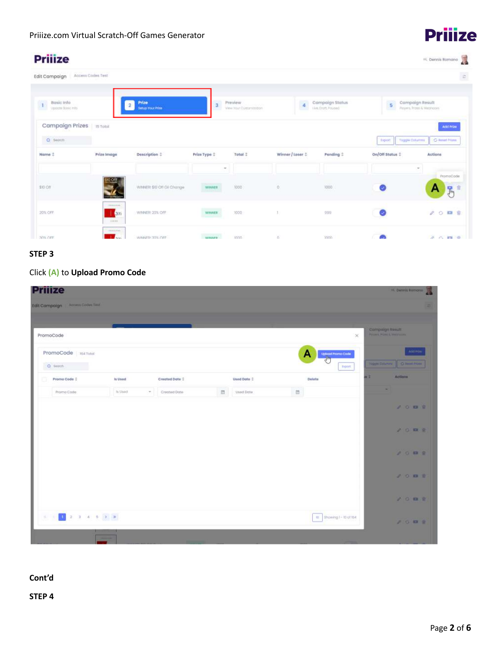# **Priiize**

H. Dermis Romano

## **Priiize**

| Edit Compoign                                 | Access Codes Test                    |                             |                 |                                     |                |                                    |                                              | $\epsilon$                                     |
|-----------------------------------------------|--------------------------------------|-----------------------------|-----------------|-------------------------------------|----------------|------------------------------------|----------------------------------------------|------------------------------------------------|
| Basic Info<br>$\mathbf{I}$<br>upocte Bosc mto |                                      | Prize<br>Setup Your Prize   | 3               | Preview<br>View Your Culturnitution | $\bar{4}$      | Campaign Status<br>Live Only Found | 5                                            | Campaign Result<br>Players, Provid & Medington |
| Campaign Prizes in Total<br>Q sepen           |                                      |                             |                 |                                     |                |                                    |                                              | Atld Prize                                     |
| Name 1                                        | Prize Image                          | Description :               | Prize Type :    | Total 1                             | Winner/Loser 1 | <b>Ponding</b> :                   | Taggle Columns<br>fisport<br>On/Off Status 1 | G Feart Nime<br>Actions                        |
| \$10 Off                                      | <b>MOOT</b><br><b>THE STATE OF</b>   | WINNER: \$10 Off Oil Change | $\sim$<br>WHATE | 1000                                | $\circ$        | 1000                               | Ø                                            | $\sim$<br><b>PromoCode</b><br>馬<br>А           |
| 20% OFF                                       | <b>TRANSPORT</b><br>200<br>$-0.0044$ | WINNER 20% OFF              | <b>WHINER</b>   | 1000                                |                | 299                                | Ø                                            | / ○ 四 世                                        |
| 30% OFF                                       | <b>CARLO AND</b><br><b>Auto</b>      | WINNER 31% OFF              | <b>WROWE</b>    | mon                                 | O.             | tone                               | ሙ                                            | $A \cap \mathbb{R}$ $\oplus$                   |

## **STEP 3**

## Click **(A)** to **Upload Promo Code**

| <b>Prilize</b>                                                                                                                                                                                                                                                                                                                           |                             |                |   |             |   |                                         |                                                                    | <b>E.</b> Dennis Remone  |
|------------------------------------------------------------------------------------------------------------------------------------------------------------------------------------------------------------------------------------------------------------------------------------------------------------------------------------------|-----------------------------|----------------|---|-------------|---|-----------------------------------------|--------------------------------------------------------------------|--------------------------|
| <b>Access Codes Test</b><br>Edit Campaign                                                                                                                                                                                                                                                                                                |                             |                |   |             |   |                                         |                                                                    |                          |
|                                                                                                                                                                                                                                                                                                                                          |                             |                |   |             |   |                                         |                                                                    |                          |
| PromoCode                                                                                                                                                                                                                                                                                                                                |                             |                |   |             |   | $_{\times}$                             | Compaign Result<br>Parymer, Philipson, & Television and Television |                          |
| PromoCode Isa Total<br>O search                                                                                                                                                                                                                                                                                                          |                             |                |   |             |   | A<br><b>Upload Promo Code</b><br>Esport | TOOLIN CULTURAL                                                    | And Fron<br>O Real Front |
| Promo Code 2                                                                                                                                                                                                                                                                                                                             | is Used                     | Created Date 1 |   | Used Date 2 |   | Delete                                  | 再生                                                                 | Actions                  |
| Promo Code                                                                                                                                                                                                                                                                                                                               | Is Usud.<br>$\mathcal{P}$ . | Cropbed Date   | 面 | Used Date   | 自 |                                         |                                                                    |                          |
|                                                                                                                                                                                                                                                                                                                                          |                             |                |   |             |   |                                         |                                                                    | 00000                    |
|                                                                                                                                                                                                                                                                                                                                          |                             |                |   |             |   |                                         |                                                                    | 20000                    |
|                                                                                                                                                                                                                                                                                                                                          |                             |                |   |             |   |                                         |                                                                    | <b>JOMN</b>              |
|                                                                                                                                                                                                                                                                                                                                          |                             |                |   |             |   |                                         |                                                                    | 200 B B                  |
|                                                                                                                                                                                                                                                                                                                                          |                             |                |   |             |   |                                         |                                                                    | 1007                     |
| $\mathbb{E} \left[ \begin{array}{ccc} 0 & 0 & 0 \\ 0 & 0 & 0 \\ 0 & 0 & 0 \\ 0 & 0 & 0 \\ 0 & 0 & 0 \\ 0 & 0 & 0 \\ 0 & 0 & 0 \\ 0 & 0 & 0 \\ 0 & 0 & 0 \\ 0 & 0 & 0 \\ 0 & 0 & 0 \\ 0 & 0 & 0 & 0 \\ 0 & 0 & 0 & 0 \\ 0 & 0 & 0 & 0 \\ 0 & 0 & 0 & 0 & 0 \\ 0 & 0 & 0 & 0 & 0 \\ 0 & 0 & 0 & 0 & 0 \\ 0 & 0 & 0 & 0 & 0 \\ 0 & 0 & 0 &$ |                             |                |   |             |   | IE: Showing I - 10 of 164               |                                                                    | <b>AGES</b>              |
| -                                                                                                                                                                                                                                                                                                                                        |                             |                |   |             |   |                                         |                                                                    |                          |

## **Cont'd**

**STEP 4**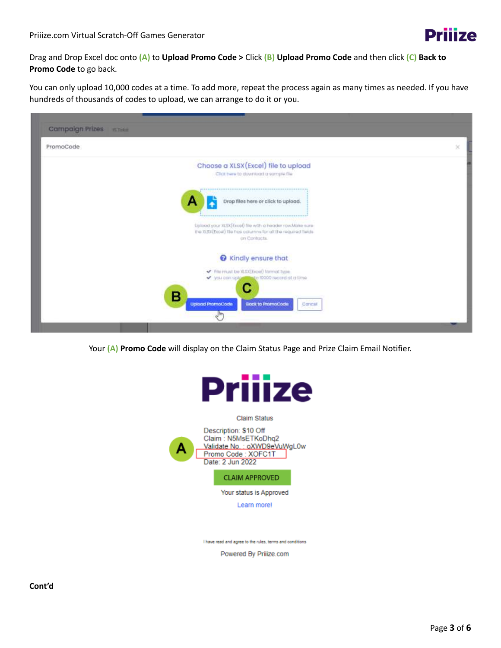

Drag and Drop Excel doc onto **(A)** to **Upload Promo Code >** Click **(B) Upload Promo Code** and then click **(C) Back to Promo Code** to go back.

You can only upload 10,000 codes at a time. To add more, repeat the process again as many times as needed. If you have hundreds of thousands of codes to upload, we can arrange to do it or you.



Your **(A) Promo Code** will display on the Claim Status Page and Prize Claim Email Notifier.



**Claim Status** 



**CLAIM APPROVED** 

Your status is Approved

Learn morel

I have read and agree to the rules, terms and conditions

Powered By Priiize.com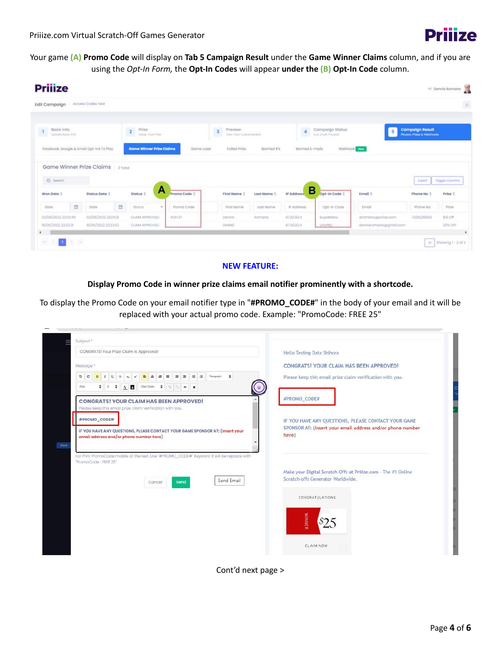

Your game **(A) Promo Code** will display on **Tab 5 Campaign Result** under the **Game Winner Claims** column, and if you are using the *Opt-In Form,* the **Opt-In Codes** will appear **under the (B) Opt-In Code** column.

| <b>Prijize</b>                  |                                          |         |                                              |              |                                                               |             |                   |                                       |                     |                                                                 | T<br>HL Dennis Romano |
|---------------------------------|------------------------------------------|---------|----------------------------------------------|--------------|---------------------------------------------------------------|-------------|-------------------|---------------------------------------|---------------------|-----------------------------------------------------------------|-----------------------|
| Edit Campaign                   | Access Codes Test                        |         |                                              |              |                                                               |             |                   |                                       |                     |                                                                 | $\bar{a}$             |
| Bosic info<br>Update Basic Info |                                          |         | $\overline{a}$<br>Prize<br>Seitus Vour Prize |              | $\overline{\mathbf{3}}$<br>Preview:<br>View Your Clementedion |             | 4                 | Campaign Status<br>Uve, Draft, Poused | 5                   | <b>Campaign Result</b><br><b>Players, Prizes &amp; Webhooks</b> |                       |
|                                 | Facebook, Google & Email Opt-Ins To Play |         | Game Winner Prize Claims                     | Game Loser   | Failed Prize                                                  | Banned IPs  | Barined E-mails   |                                       | Webhook the         |                                                                 |                       |
|                                 |                                          |         |                                              |              |                                                               |             |                   |                                       |                     |                                                                 |                       |
|                                 | Game Winner Prize Claims                 | 2 Total |                                              |              |                                                               |             |                   |                                       |                     |                                                                 |                       |
| O Seorch                        |                                          |         |                                              |              |                                                               |             |                   |                                       |                     | Export                                                          | Toggle Columns        |
| Won Date :                      | Status Date 1                            |         | Α<br>Status 2                                | Promo Code : | First Name :                                                  | Last Name : | в<br>IP Address   | Opt-In Code 1                         | Email :             | Phone No 1                                                      | Prize 2               |
| 日<br>Dota                       | Dote                                     | 目       | Stotus<br>$\pi$                              | Promo Code   | First Name                                                    | Lost Name   | <b>IF Address</b> | Opt-in Code                           | Ernall              | Phone No.                                                       | Prize                 |
| 02/08/2022 22:03:49             | 02/05/2021 22:04:21                      |         | CLAIM APPROVED:                              | XOFCIT       | Dennis:                                                       | Romano      | 87.82.92.4        | BUVMBNOW                              | dramano@prilize.com | 7329228800                                                      | 510-Off               |

#### **NEW FEATURE:**

**Display Promo Code in winner prize claims email notifier prominently with a shortcode.**

To display the Promo Code on your email notifier type in "**#PROMO\_CODE#**" in the body of your email and it will be replaced with your actual promo code. Example: "PromoCode: FREE 25"

| Subject *<br>CONGRATS! Your Prize Claim is Approved!                                                                                                                         | Hello Testing Data Shihora                                          |
|------------------------------------------------------------------------------------------------------------------------------------------------------------------------------|---------------------------------------------------------------------|
|                                                                                                                                                                              | CONGRATS! YOUR CLAIM HAS BEEN APPROVED!                             |
| Message *<br><b>E</b> E Paragraph<br>$\equiv$ $\equiv$<br>国国<br>D C<br>$B$ $I$ $\cup$ $S$ $x$ $x^*$<br>$\ddot{\phantom{a}}$<br>$\left( \frac{\alpha}{2} \right)$<br>$\equiv$ | Please keep this email prize claim verification with you.           |
| $A$ $A$<br>٠<br>$-2$<br>Clear Class<br>$\overline{\phantom{a}}$<br>Arial<br>$\ddot{ }$<br>$\ddot{ }$<br>$\pmb{\times}$                                                       |                                                                     |
| <b>CONGRATS! YOUR CLAIM HAS BEEN APPROVED!</b>                                                                                                                               | #PROMO_CODE#                                                        |
| Please keep this email prize claim verification with you.                                                                                                                    |                                                                     |
| #PROMO_CODE#                                                                                                                                                                 | IF YOU HAVE ANY QUESTIONS, PLEASE CONTACT YOUR GAME                 |
| IF YOU HAVE ANY QUESTIONS, PLEASE CONTACT YOUR GAME SPONSOR AT: (Insert your<br>email address and/or phone number here)                                                      | SPONSOR AT: (Insert your email address and/or phone number<br>here) |
|                                                                                                                                                                              |                                                                     |
| For Print PromoCode middle of the text. Use "#PROMO_CODE#" Keyword it will be replace with<br>"PromoCode: FREE 25"                                                           |                                                                     |
|                                                                                                                                                                              | Make your Digital Scratch-Offs at Priiize.com - The #1 Online       |
| Send Email<br>Send<br>Cancel                                                                                                                                                 | Scratch-offs Generator Worldwide.                                   |
|                                                                                                                                                                              | CONGRATULATIONS                                                     |
|                                                                                                                                                                              |                                                                     |
|                                                                                                                                                                              | <b>WINNER</b>                                                       |
|                                                                                                                                                                              |                                                                     |
|                                                                                                                                                                              |                                                                     |

Cont'd next page >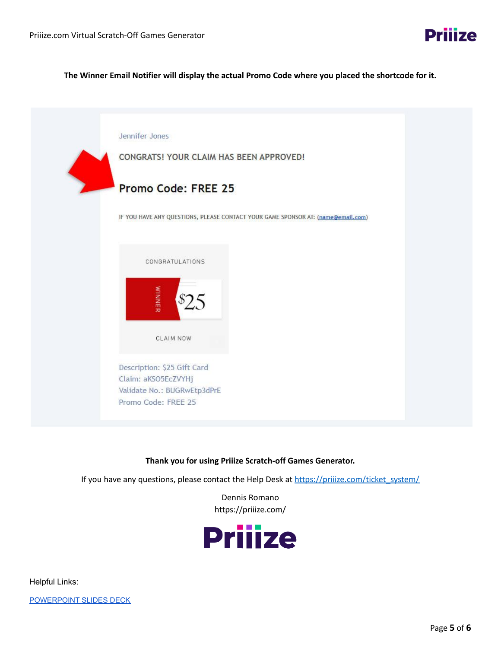**The Winner Email Notifier will display the actual Promo Code where you placed the shortcode for it.**



#### **Thank you for using Priiize Scratch-off Games Generator.**

If you have any questions, please contact the Help Desk at [https://priiize.com/ticket\\_system/](https://priiize.com/ticket_system/)

Dennis Romano https://priiize.com/



Helpful Links: